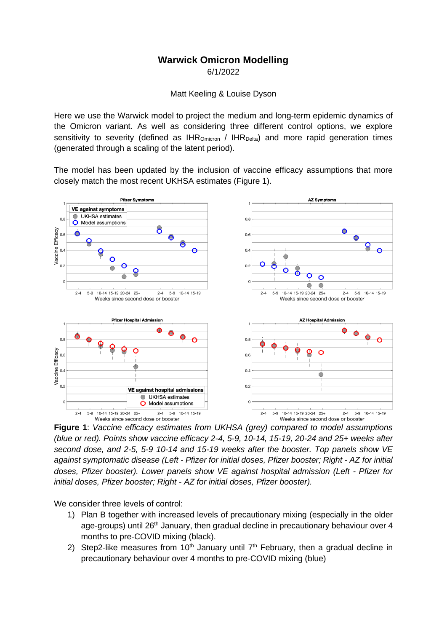## **Warwick Omicron Modelling**

6/1/2022

Matt Keeling & Louise Dyson

Here we use the Warwick model to project the medium and long-term epidemic dynamics of the Omicron variant. As well as considering three different control options, we explore sensitivity to severity (defined as  $IHR_{\text{Onicron}}/IHR_{\text{Delta}}$ ) and more rapid generation times (generated through a scaling of the latent period).

The model has been updated by the inclusion of vaccine efficacy assumptions that more closely match the most recent UKHSA estimates (Figure 1).



**Figure 1**: *Vaccine efficacy estimates from UKHSA (grey) compared to model assumptions (blue or red). Points show vaccine efficacy 2-4, 5-9, 10-14, 15-19, 20-24 and 25+ weeks after second dose, and 2-5, 5-9 10-14 and 15-19 weeks after the booster. Top panels show VE against symptomatic disease (Left - Pfizer for initial doses, Pfizer booster; Right - AZ for initial doses, Pfizer booster). Lower panels show VE against hospital admission (Left - Pfizer for initial doses, Pfizer booster; Right - AZ for initial doses, Pfizer booster).*

We consider three levels of control:

- 1) Plan B together with increased levels of precautionary mixing (especially in the older age-groups) until 26<sup>th</sup> January, then gradual decline in precautionary behaviour over 4 months to pre-COVID mixing (black).
- 2) Step2-like measures from  $10<sup>th</sup>$  January until  $7<sup>th</sup>$  February, then a gradual decline in precautionary behaviour over 4 months to pre-COVID mixing (blue)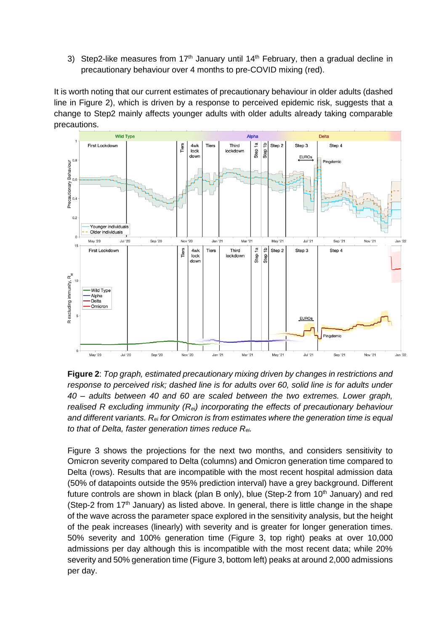3) Step2-like measures from  $17<sup>th</sup>$  January until  $14<sup>th</sup>$  February, then a gradual decline in precautionary behaviour over 4 months to pre-COVID mixing (red).

It is worth noting that our current estimates of precautionary behaviour in older adults (dashed line in Figure 2), which is driven by a response to perceived epidemic risk, suggests that a change to Step2 mainly affects younger adults with older adults already taking comparable precautions.



**Figure 2**: *Top graph, estimated precautionary mixing driven by changes in restrictions and response to perceived risk; dashed line is for adults over 60, solid line is for adults under 40 – adults between 40 and 60 are scaled between the two extremes. Lower graph, realised R excluding immunity (Rei) incorporating the effects of precautionary behaviour and different variants. Rei for Omicron is from estimates where the generation time is equal to that of Delta, faster generation times reduce Rei.*

Figure 3 shows the projections for the next two months, and considers sensitivity to Omicron severity compared to Delta (columns) and Omicron generation time compared to Delta (rows). Results that are incompatible with the most recent hospital admission data (50% of datapoints outside the 95% prediction interval) have a grey background. Different future controls are shown in black (plan B only), blue (Step-2 from  $10<sup>th</sup>$  January) and red (Step-2 from  $17<sup>th</sup>$  January) as listed above. In general, there is little change in the shape of the wave across the parameter space explored in the sensitivity analysis, but the height of the peak increases (linearly) with severity and is greater for longer generation times. 50% severity and 100% generation time (Figure 3, top right) peaks at over 10,000 admissions per day although this is incompatible with the most recent data; while 20% severity and 50% generation time (Figure 3, bottom left) peaks at around 2,000 admissions per day.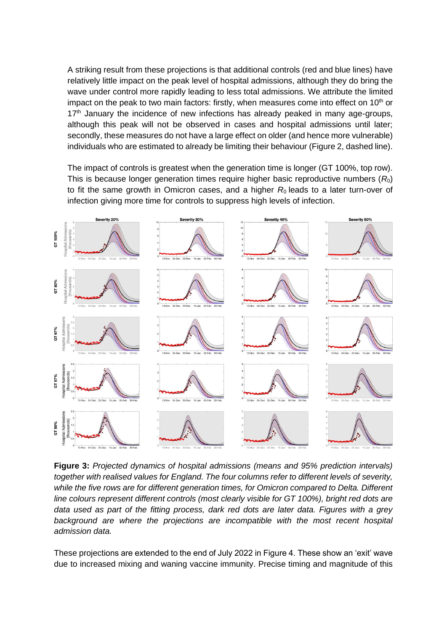A striking result from these projections is that additional controls (red and blue lines) have relatively little impact on the peak level of hospital admissions, although they do bring the wave under control more rapidly leading to less total admissions. We attribute the limited impact on the peak to two main factors: firstly, when measures come into effect on  $10<sup>th</sup>$  or  $17<sup>th</sup>$  January the incidence of new infections has already peaked in many age-groups, although this peak will not be observed in cases and hospital admissions until later; secondly, these measures do not have a large effect on older (and hence more vulnerable) individuals who are estimated to already be limiting their behaviour (Figure 2, dashed line).

The impact of controls is greatest when the generation time is longer (GT 100%, top row). This is because longer generation times require higher basic reproductive numbers (*R*0) to fit the same growth in Omicron cases, and a higher  $R_0$  leads to a later turn-over of infection giving more time for controls to suppress high levels of infection.



**Figure 3:** *Projected dynamics of hospital admissions (means and 95% prediction intervals) together with realised values for England. The four columns refer to different levels of severity, while the five rows are for different generation times, for Omicron compared to Delta. Different line colours represent different controls (most clearly visible for GT 100%), bright red dots are data used as part of the fitting process, dark red dots are later data. Figures with a grey*  background are where the projections are incompatible with the most recent hospital *admission data.*

These projections are extended to the end of July 2022 in Figure 4. These show an 'exit' wave due to increased mixing and waning vaccine immunity. Precise timing and magnitude of this